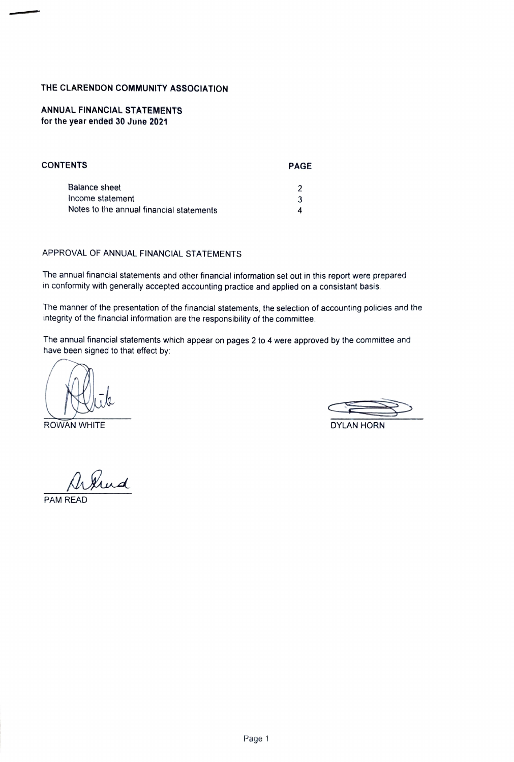#### THE CLARENDON COMMUNITY ASSoCIATION

#### ANNUAL FINANCIAL STATEMENTS for the year ended 30 June 2021

| <b>CONTENTS</b>                          | <b>PAGE</b> |
|------------------------------------------|-------------|
| Balance sheet                            |             |
| Income statement                         | 3           |
| Notes to the annual financial statements |             |

#### APPROVAL OF ANNUAL FINANCIAL STATEMENTs

The annual financial statements and other financial information set out in this report were prepared in conformity with generally accepted accounting practice and applied on a consistant basis

The manner of the presentation of the financial statements, the selection of accounting policies and the integrity of the financial information are the responsibility of the committee.

The annual financial statements which appear on pages 2 to 4 were approved by the committee and have been signed to that effect by:

ROWAN WHITE **EXAMPLE 2008** 2009 2012 12:30 2012 2013 2014 2015 2016 2017 2018 2019 2014 2015 2016 2017 2018 2017 2018 2017 2018 2017 2018 2017 2018 2017 2018 2017 2017 2018 2017 2018 2017 2018 2017 2017 2018 2017 2018 2017

hnd

PAM READ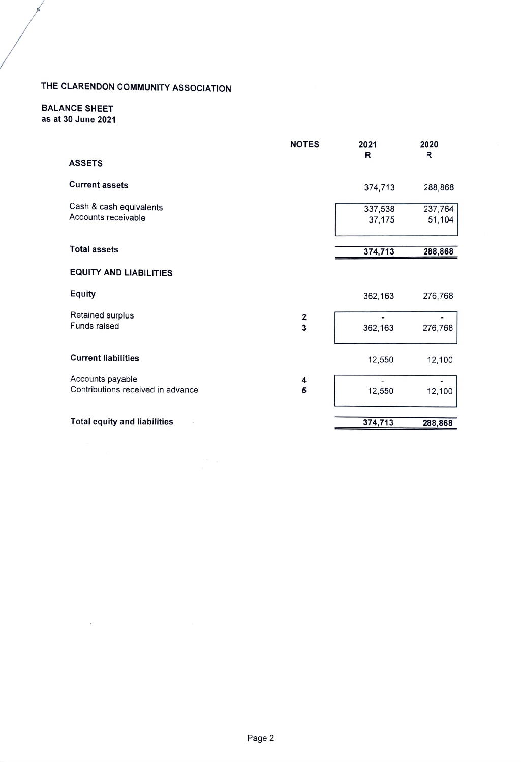# THE CLARENDON COMMUNITY ASSOCIATION

#### BALANCE SHEET as at 30 June 2021

 $\mathcal{L}_{\mathcal{A}}$ 

d

|                                                       | <b>NOTES</b>                 | 2021              | 2020              |
|-------------------------------------------------------|------------------------------|-------------------|-------------------|
| <b>ASSETS</b>                                         |                              | R                 | R                 |
| <b>Current assets</b>                                 |                              | 374,713           | 288,868           |
| Cash & cash equivalents<br>Accounts receivable        |                              | 337,538<br>37,175 | 237,764<br>51,104 |
| <b>Total assets</b>                                   |                              | 374,713           | 288,868           |
| <b>EQUITY AND LIABILITIES</b>                         |                              |                   |                   |
| <b>Equity</b>                                         |                              | 362,163           | 276,768           |
| Retained surplus<br>Funds raised                      | 2<br>$\overline{\mathbf{3}}$ | 362,163           | 276,768           |
| <b>Current liabilities</b>                            |                              | 12,550            | 12,100            |
| Accounts payable<br>Contributions received in advance | 4<br>5                       | 12,550            | 12,100            |
| <b>Total equity and liabilities</b>                   |                              | 374,713           | 288,868           |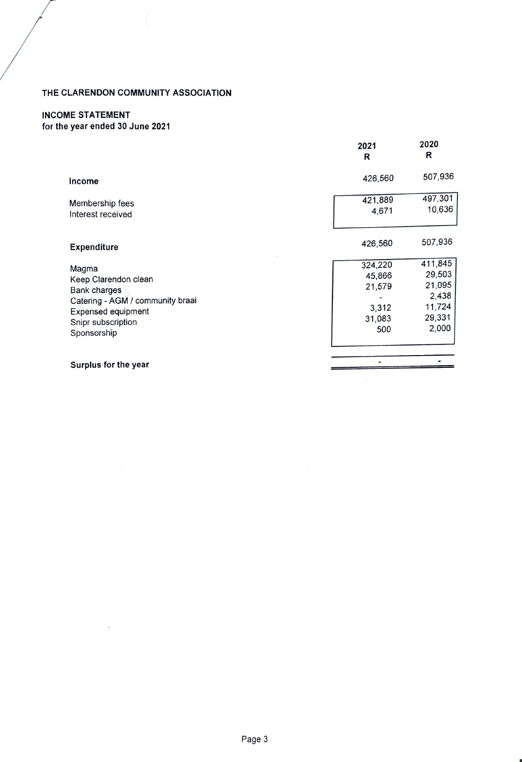### THE CLARENDON COMMUNITY ASSOCIATION

## INCOME STATEMENT

for the year ended 30 June 2021

|                                                                                                                                                            | 2021<br>R                                             | 2020<br>R                                                         |
|------------------------------------------------------------------------------------------------------------------------------------------------------------|-------------------------------------------------------|-------------------------------------------------------------------|
| Income                                                                                                                                                     | 426,560                                               | 507,936                                                           |
| Membership fees<br>Interest received                                                                                                                       | 421,889<br>4,671                                      | 497,301<br>10,636                                                 |
| <b>Expenditure</b>                                                                                                                                         | 426,560                                               | 507,936                                                           |
| Magma<br>Keep Clarendon clean<br><b>Bank charges</b><br>Catering - AGM / community braai<br><b>Expensed equipment</b><br>Snipr subscription<br>Sponsorship | 324,220<br>45,866<br>21,579<br>3,312<br>31,083<br>500 | 411,845<br>29,503<br>21,095<br>2,438<br>11,724<br>29,331<br>2,000 |
| Surplus for the year                                                                                                                                       |                                                       |                                                                   |